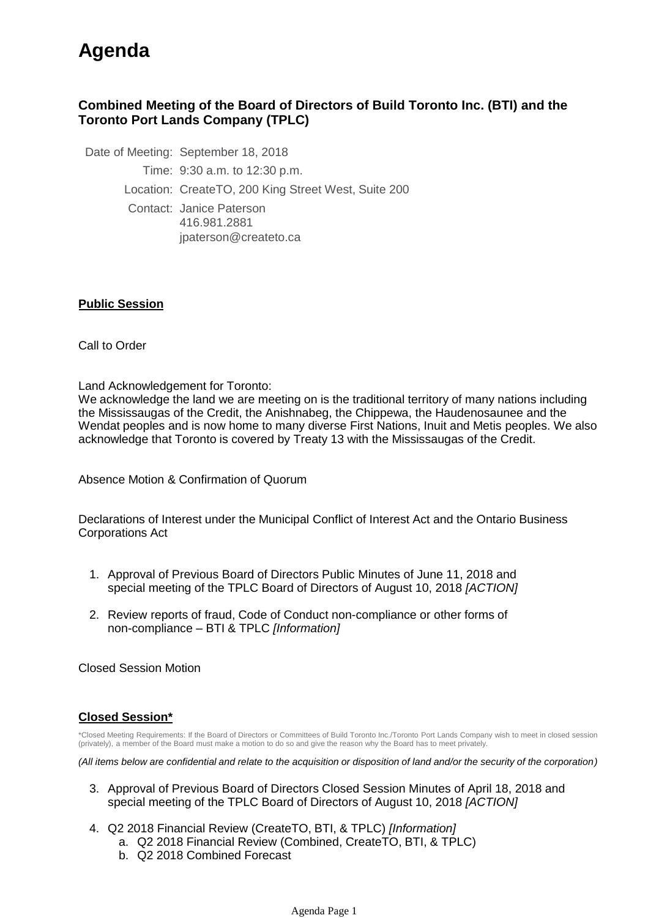## **Agenda**

## **Combined Meeting of the Board of Directors of Build Toronto Inc. (BTI) and the Toronto Port Lands Company (TPLC)**

Date of Meeting: September 18, 2018

Time: 9:30 a.m. to 12:30 p.m.

Location: CreateTO, 200 King Street West, Suite 200

Contact: Janice Paterson 416.981.2881 jpaterson@createto.ca

## **Public Session**

Call to Order

Land Acknowledgement for Toronto:

We acknowledge the land we are meeting on is the traditional territory of many nations including the Mississaugas of the Credit, the Anishnabeg, the Chippewa, the Haudenosaunee and the Wendat peoples and is now home to many diverse First Nations, Inuit and Metis peoples. We also acknowledge that Toronto is covered by Treaty 13 with the Mississaugas of the Credit.

Absence Motion & Confirmation of Quorum

Declarations of Interest under the Municipal Conflict of Interest Act and the Ontario Business Corporations Act

- 1. Approval of Previous Board of Directors Public Minutes of June 11, 2018 and special [meeting of the TPLC Board of Directors of August 10](onenote:1.%20Public%20Minutes.one#section-id={9A83AF49-C2AF-4DFB-96EA-EBB24FF17138}&base-path=//M:/Corporate Board/Meetings/5. September 18, 2018/Corporate BOD (180918)), 2018 *[ACTION]*
- 2. Review reports of fraud, Code of Conduct non-compliance or other forms of [non-compliance –](onenote:2.%20Review%20reports%20of%20fraud,%20Code%20of%20Conduct.one#section-id={EDF4B5DB-7DC8-4697-ABDF-5A6356D5434C}&base-path=//M:/Corporate Board/Meetings/5. September 18, 2018/Corporate BOD (180918)) BTI & TPLC *[Information]*

Closed Session Motion

## **Closed Session\***

\*Closed Meeting Requirements: If the Board of Directors or Committees of Build Toronto Inc./Toronto Port Lands Company wish to meet in closed session (privately), a member of the Board must make a motion to do so and give the reason why the Board has to meet privately.

*(All items below are confidential and relate to the acquisition or disposition of land and/or the security of the corporation)*

- 3. Approval of Previous Board of Directors Closed Session Minutes of April 18, 2018 and [special meeting of the TPLC Board of Directors of August 10, 2018](onenote:4.%20Closed%20Minutes.one#section-id={F3AF8403-DDA1-4C2E-81FF-0DC770475A1A}&base-path=//M:/Corporate Board/Meetings/5. September 18, 2018/Corporate BOD (180918)) *[ACTION]*
- 4. [Q2 2018 Financial Review \(CreateTO, BTI, & TPLC\)](onenote:4.%20Q2%202018%20Financial%20Review%20(CreateTO,%20BTI,%20TPLC).one#section-id={6B513223-17CA-472B-A7BA-BCC3AD320878}&base-path=//M:/Corporate Board/Meetings/5. September 18, 2018/Corporate BOD (180918)) *[Information]*
	- a. Q2 2018 Financial Review (Combined, CreateTO, BTI, & TPLC)
	- b. Q2 2018 Combined Forecast